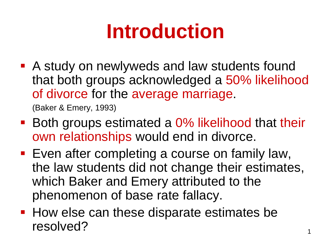## **Introduction**

 A study on newlyweds and law students found that both groups acknowledged a 50% likelihood of divorce for the average marriage.

(Baker & Emery, 1993)

- Both groups estimated a 0% likelihood that their own relationships would end in divorce.
- **Even after completing a course on family law,** the law students did not change their estimates, which Baker and Emery attributed to the phenomenon of base rate fallacy.
- **How else can these disparate estimates be** resolved?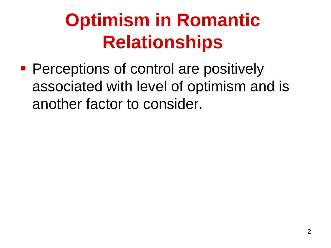### **Optimism in Romantic Relationships**

**Perceptions of control are positively** associated with level of optimism and is another factor to consider.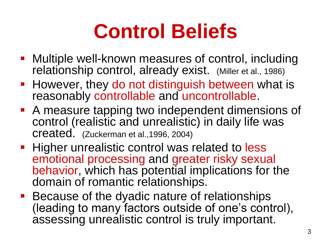## **Control Beliefs**

- Multiple well-known measures of control, including relationship control, already exist. (Miller et al., 1986)
- **However, they do not distinguish between what is** reasonably controllable and uncontrollable.
- A measure tapping two independent dimensions of control (realistic and unrealistic) in daily life was created. (Zuckerman et al.,1996, 2004)
- **Higher unrealistic control was related to less** emotional processing and greater risky sexual behavior, which has potential implications for the domain of romantic relationships.
- **Because of the dyadic nature of relationships** (leading to many factors outside of one's control), assessing unrealistic control is truly important.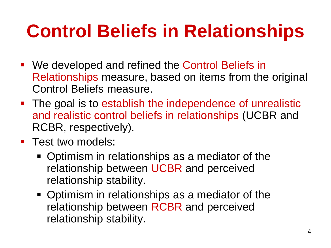## **Control Beliefs in Relationships**

- We developed and refined the Control Beliefs in Relationships measure, based on items from the original Control Beliefs measure.
- The goal is to establish the independence of unrealistic and realistic control beliefs in relationships (UCBR and RCBR, respectively).
- **Test two models:** 
	- Optimism in relationships as a mediator of the relationship between UCBR and perceived relationship stability.
	- Optimism in relationships as a mediator of the relationship between RCBR and perceived relationship stability.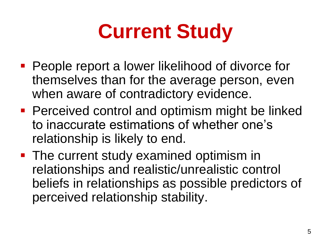# **Current Study**

- People report a lower likelihood of divorce for themselves than for the average person, even when aware of contradictory evidence.
- **Perceived control and optimism might be linked** to inaccurate estimations of whether one's relationship is likely to end.
- **The current study examined optimism in** relationships and realistic/unrealistic control beliefs in relationships as possible predictors of perceived relationship stability.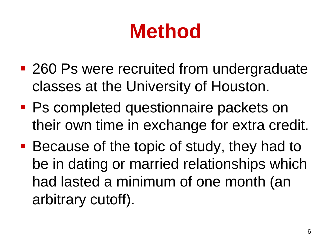## **Method**

- 260 Ps were recruited from undergraduate classes at the University of Houston.
- **Ps completed questionnaire packets on** their own time in exchange for extra credit.
- Because of the topic of study, they had to be in dating or married relationships which had lasted a minimum of one month (an arbitrary cutoff).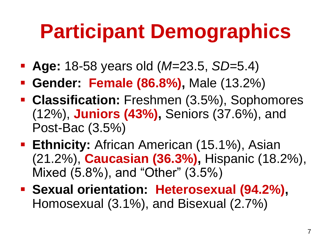## **Participant Demographics**

- **Age:** 18-58 years old (*M=*23.5, *SD=*5.4)
- **Gender: Female (86.8%),** Male (13.2%)
- **Classification:** Freshmen (3.5%), Sophomores (12%), **Juniors (43%),** Seniors (37.6%), and Post-Bac (3.5%)
- **Ethnicity:** African American (15.1%), Asian (21.2%), **Caucasian (36.3%),** Hispanic (18.2%), Mixed (5.8%), and "Other" (3.5%)
- **Sexual orientation: Heterosexual (94.2%),** Homosexual (3.1%), and Bisexual (2.7%)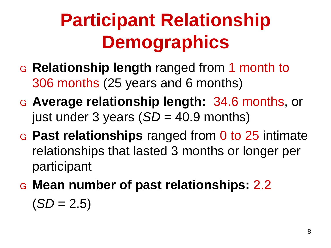## **Participant Relationship Demographics**

- G **Relationship length** ranged from 1 month to 306 months (25 years and 6 months)
- G **Average relationship length:** 34.6 months, or just under 3 years (*SD* = 40.9 months)
- G **Past relationships** ranged from 0 to 25 intimate relationships that lasted 3 months or longer per participant
- G **Mean number of past relationships:** 2.2  $(SD = 2.5)$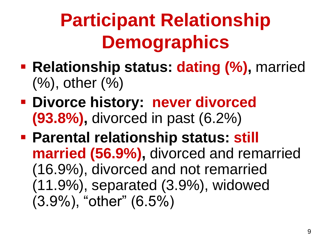## **Participant Relationship Demographics**

- **Relationship status: dating (%)**, married (%), other (%)
- **Divorce history: never divorced (93.8%),** divorced in past (6.2%)
- **Parental relationship status: still married (56.9%),** divorced and remarried (16.9%), divorced and not remarried (11.9%), separated (3.9%), widowed (3.9%), "other" (6.5%)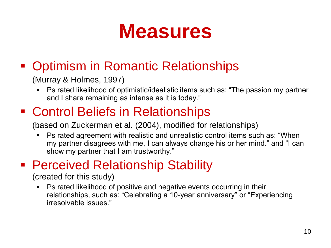#### **Measures**

#### • Optimism in Romantic Relationships

(Murray & Holmes, 1997)

 Ps rated likelihood of optimistic/idealistic items such as: "The passion my partner and I share remaining as intense as it is today."

#### ■ Control Beliefs in Relationships

(based on Zuckerman et al. (2004), modified for relationships)

 Ps rated agreement with realistic and unrealistic control items such as: "When my partner disagrees with me, I can always change his or her mind." and "I can show my partner that I am trustworthy."

#### **Perceived Relationship Stability**

(created for this study)

 Ps rated likelihood of positive and negative events occurring in their relationships, such as: "Celebrating a 10-year anniversary" or "Experiencing irresolvable issues."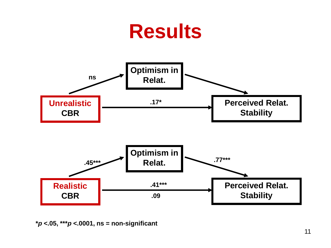#### **Results Unrealistic CBR Optimism in Relat. Perceived Relat. Stability Realistic CBR Optimism in Relat. Perceived Relat. Stability ns .17\* .45\*\*\* .41\*\*\* .09 .77\*\*\***

**\****p* **<.05, \*\*\****p* **<.0001, ns = non-significant**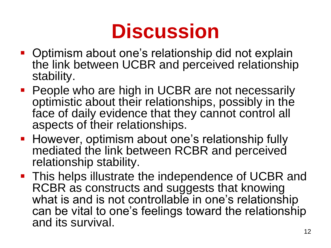## **Discussion**

- **Optimism about one's relationship did not explain** the link between UCBR and perceived relationship stability.
- **People who are high in UCBR are not necessarily** optimistic about their relationships, possibly in the face of daily evidence that they cannot control all aspects of their relationships.
- **However, optimism about one's relationship fully** mediated the link between RCBR and perceived relationship stability.
- **This helps illustrate the independence of UCBR and** RCBR as constructs and suggests that knowing what is and is not controllable in one's relationship can be vital to one's feelings toward the relationship and its survival.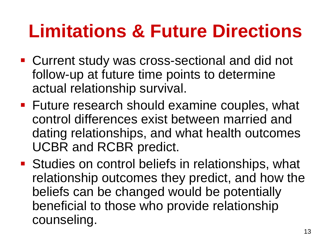### **Limitations & Future Directions**

- Current study was cross-sectional and did not follow-up at future time points to determine actual relationship survival.
- **Future research should examine couples, what** control differences exist between married and dating relationships, and what health outcomes UCBR and RCBR predict.
- **Studies on control beliefs in relationships, what** relationship outcomes they predict, and how the beliefs can be changed would be potentially beneficial to those who provide relationship counseling.